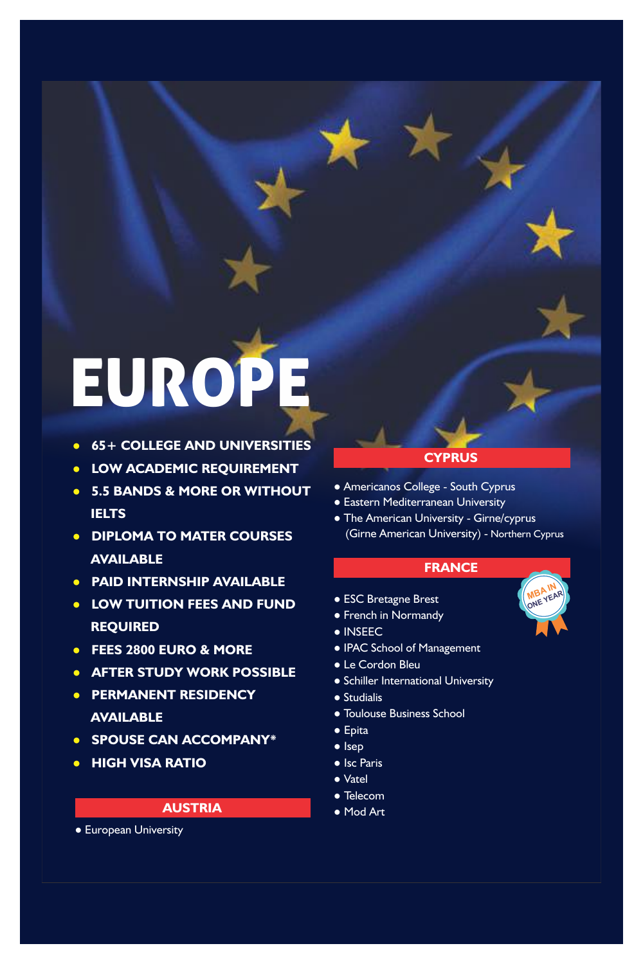# EUROPE

- ● **65+ COLLEGE AND UNIVERSITIES**
- **LOW ACADEMIC REQUIREMENT**
- ● **5.5 BANDS & MORE OR WITHOUT IELTS**
- ● **DIPLOMA TO MATER COURSES AVAILABLE**
- ● **PAID INTERNSHIP AVAILABLE**
- ● **LOW TUITION FEES AND FUND REQUIRED**
- ● **FEES 2800 EURO & MORE**
- ● **AFTER STUDY WORK POSSIBLE**
- ● **PERMANENT RESIDENCY AVAILABLE**
- ● **SPOUSE CAN ACCOMPANY\***
- ● **HIGH VISA RATIO**

#### **AUSTRIA**

● European University

#### **CYPRUS**

- Americanos College South Cyprus
- Eastern Mediterranean University
- The American University Girne/cyprus (Girne American University) - Northern Cyprus

#### **FRANCE**

**MBA IN MB**<sup>VEAR</sup>

- ESC Bretagne Brest
- French in Normandy
- INSEEC
- IPAC School of Management
- Le Cordon Bleu
- Schiller International University
- Studialis
- Toulouse Business School
- Epita
- Isep
- Isc Paris
- Vatel
- Telecom
- Mod Art